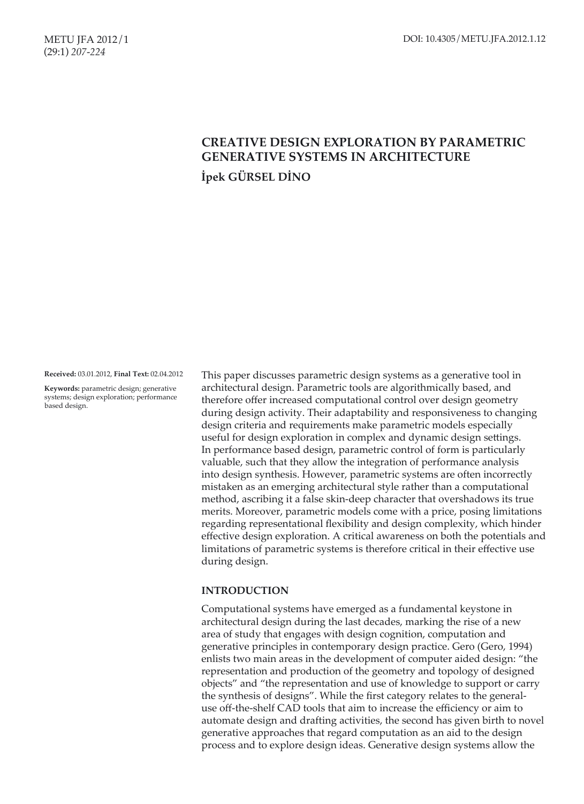# **CREATIVE DESIGN EXPLORATION BY PARAMETRIC GENERATIVE SYSTEMS IN ARCHITECTURE İpek GÜRSEL DİNO**

**Received:** 03.01.2012, **Final Text:** 02.04.2012

**Keywords:** parametric design; generative systems; design exploration; performance based design.

This paper discusses parametric design systems as a generative tool in architectural design. Parametric tools are algorithmically based, and therefore offer increased computational control over design geometry during design activity. Their adaptability and responsiveness to changing design criteria and requirements make parametric models especially useful for design exploration in complex and dynamic design settings. In performance based design, parametric control of form is particularly valuable, such that they allow the integration of performance analysis into design synthesis. However, parametric systems are often incorrectly mistaken as an emerging architectural style rather than a computational method, ascribing it a false skin-deep character that overshadows its true merits. Moreover, parametric models come with a price, posing limitations regarding representational flexibility and design complexity, which hinder effective design exploration. A critical awareness on both the potentials and limitations of parametric systems is therefore critical in their effective use during design.

### **INTRODUCTION**

Computational systems have emerged as a fundamental keystone in architectural design during the last decades, marking the rise of a new area of study that engages with design cognition, computation and generative principles in contemporary design practice. Gero (Gero, 1994) enlists two main areas in the development of computer aided design: "the representation and production of the geometry and topology of designed objects" and "the representation and use of knowledge to support or carry the synthesis of designs". While the first category relates to the generaluse off-the-shelf CAD tools that aim to increase the efficiency or aim to automate design and drafting activities, the second has given birth to novel generative approaches that regard computation as an aid to the design process and to explore design ideas. Generative design systems allow the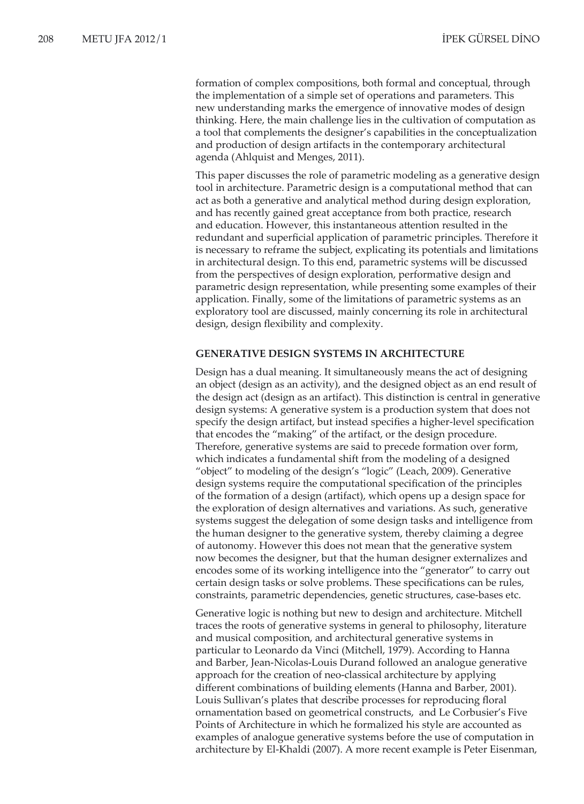formation of complex compositions, both formal and conceptual, through the implementation of a simple set of operations and parameters. This new understanding marks the emergence of innovative modes of design thinking. Here, the main challenge lies in the cultivation of computation as a tool that complements the designer's capabilities in the conceptualization and production of design artifacts in the contemporary architectural agenda (Ahlquist and Menges, 2011).

This paper discusses the role of parametric modeling as a generative design tool in architecture. Parametric design is a computational method that can act as both a generative and analytical method during design exploration, and has recently gained great acceptance from both practice, research and education. However, this instantaneous attention resulted in the redundant and superficial application of parametric principles. Therefore it is necessary to reframe the subject, explicating its potentials and limitations in architectural design. To this end, parametric systems will be discussed from the perspectives of design exploration, performative design and parametric design representation, while presenting some examples of their application. Finally, some of the limitations of parametric systems as an exploratory tool are discussed, mainly concerning its role in architectural design, design flexibility and complexity.

#### **GENERATIVE DESIGN SYSTEMS IN ARCHITECTURE**

Design has a dual meaning. It simultaneously means the act of designing an object (design as an activity), and the designed object as an end result of the design act (design as an artifact). This distinction is central in generative design systems: A generative system is a production system that does not specify the design artifact, but instead specifies a higher-level specification that encodes the "making" of the artifact, or the design procedure. Therefore, generative systems are said to precede formation over form, which indicates a fundamental shift from the modeling of a designed "object" to modeling of the design's "logic" (Leach, 2009). Generative design systems require the computational specification of the principles of the formation of a design (artifact), which opens up a design space for the exploration of design alternatives and variations. As such, generative systems suggest the delegation of some design tasks and intelligence from the human designer to the generative system, thereby claiming a degree of autonomy. However this does not mean that the generative system now becomes the designer, but that the human designer externalizes and encodes some of its working intelligence into the "generator" to carry out certain design tasks or solve problems. These specifications can be rules, constraints, parametric dependencies, genetic structures, case-bases etc.

Generative logic is nothing but new to design and architecture. Mitchell traces the roots of generative systems in general to philosophy, literature and musical composition, and architectural generative systems in particular to Leonardo da Vinci (Mitchell, 1979). According to Hanna and Barber, Jean-Nicolas-Louis Durand followed an analogue generative approach for the creation of neo-classical architecture by applying different combinations of building elements (Hanna and Barber, 2001). Louis Sullivan's plates that describe processes for reproducing floral ornamentation based on geometrical constructs, and Le Corbusier's Five Points of Architecture in which he formalized his style are accounted as examples of analogue generative systems before the use of computation in architecture by El-Khaldi (2007). A more recent example is Peter Eisenman,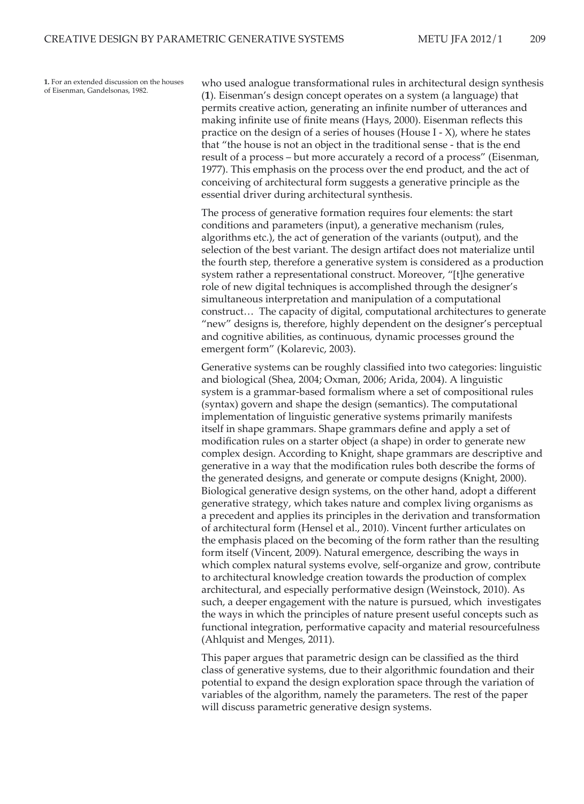**1.** For an extended discussion on the houses of Eisenman, Gandelsonas, 1982.

who used analogue transformational rules in architectural design synthesis (**1**). Eisenman's design concept operates on a system (a language) that permits creative action, generating an infinite number of utterances and making infinite use of finite means (Hays, 2000). Eisenman reflects this practice on the design of a series of houses (House I - X), where he states that "the house is not an object in the traditional sense - that is the end result of a process – but more accurately a record of a process" (Eisenman, 1977). This emphasis on the process over the end product, and the act of conceiving of architectural form suggests a generative principle as the essential driver during architectural synthesis.

The process of generative formation requires four elements: the start conditions and parameters (input), a generative mechanism (rules, algorithms etc.), the act of generation of the variants (output), and the selection of the best variant. The design artifact does not materialize until the fourth step, therefore a generative system is considered as a production system rather a representational construct. Moreover, "[t]he generative role of new digital techniques is accomplished through the designer's simultaneous interpretation and manipulation of a computational construct… The capacity of digital, computational architectures to generate "new" designs is, therefore, highly dependent on the designer's perceptual and cognitive abilities, as continuous, dynamic processes ground the emergent form" (Kolarevic, 2003).

Generative systems can be roughly classified into two categories: linguistic and biological (Shea, 2004; Oxman, 2006; Arida, 2004). A linguistic system is a grammar-based formalism where a set of compositional rules (syntax) govern and shape the design (semantics). The computational implementation of linguistic generative systems primarily manifests itself in shape grammars. Shape grammars define and apply a set of modification rules on a starter object (a shape) in order to generate new complex design. According to Knight, shape grammars are descriptive and generative in a way that the modification rules both describe the forms of the generated designs, and generate or compute designs (Knight, 2000). Biological generative design systems, on the other hand, adopt a different generative strategy, which takes nature and complex living organisms as a precedent and applies its principles in the derivation and transformation of architectural form (Hensel et al., 2010). Vincent further articulates on the emphasis placed on the becoming of the form rather than the resulting form itself (Vincent, 2009). Natural emergence, describing the ways in which complex natural systems evolve, self-organize and grow, contribute to architectural knowledge creation towards the production of complex architectural, and especially performative design (Weinstock, 2010). As such, a deeper engagement with the nature is pursued, which investigates the ways in which the principles of nature present useful concepts such as functional integration, performative capacity and material resourcefulness (Ahlquist and Menges, 2011).

This paper argues that parametric design can be classified as the third class of generative systems, due to their algorithmic foundation and their potential to expand the design exploration space through the variation of variables of the algorithm, namely the parameters. The rest of the paper will discuss parametric generative design systems.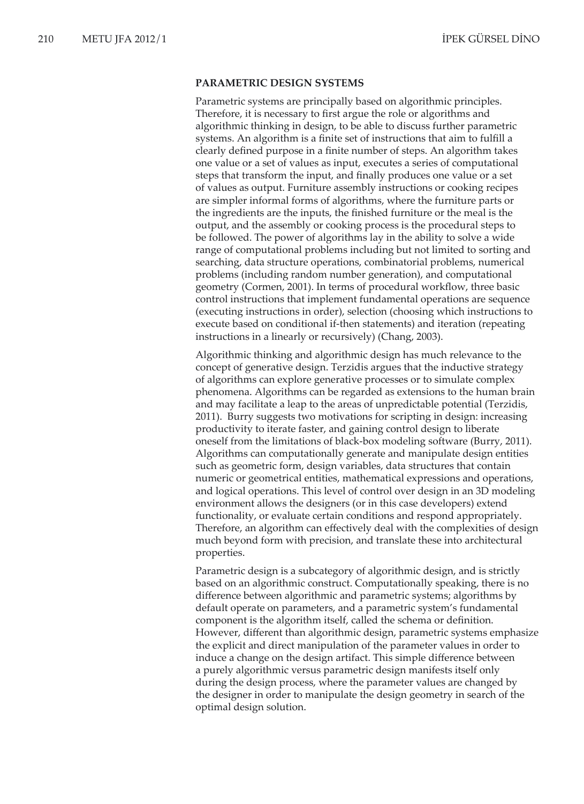#### **PARAMETRIC DESIGN SYSTEMS**

Parametric systems are principally based on algorithmic principles. Therefore, it is necessary to first argue the role or algorithms and algorithmic thinking in design, to be able to discuss further parametric systems. An algorithm is a finite set of instructions that aim to fulfill a clearly defined purpose in a finite number of steps. An algorithm takes one value or a set of values as input, executes a series of computational steps that transform the input, and finally produces one value or a set of values as output. Furniture assembly instructions or cooking recipes are simpler informal forms of algorithms, where the furniture parts or the ingredients are the inputs, the finished furniture or the meal is the output, and the assembly or cooking process is the procedural steps to be followed. The power of algorithms lay in the ability to solve a wide range of computational problems including but not limited to sorting and searching, data structure operations, combinatorial problems, numerical problems (including random number generation), and computational geometry (Cormen, 2001). In terms of procedural workflow, three basic control instructions that implement fundamental operations are sequence (executing instructions in order), selection (choosing which instructions to execute based on conditional if-then statements) and iteration (repeating instructions in a linearly or recursively) (Chang, 2003).

Algorithmic thinking and algorithmic design has much relevance to the concept of generative design. Terzidis argues that the inductive strategy of algorithms can explore generative processes or to simulate complex phenomena. Algorithms can be regarded as extensions to the human brain and may facilitate a leap to the areas of unpredictable potential (Terzidis, 2011). Burry suggests two motivations for scripting in design: increasing productivity to iterate faster, and gaining control design to liberate oneself from the limitations of black-box modeling software (Burry, 2011). Algorithms can computationally generate and manipulate design entities such as geometric form, design variables, data structures that contain numeric or geometrical entities, mathematical expressions and operations, and logical operations. This level of control over design in an 3D modeling environment allows the designers (or in this case developers) extend functionality, or evaluate certain conditions and respond appropriately. Therefore, an algorithm can effectively deal with the complexities of design much beyond form with precision, and translate these into architectural properties.

Parametric design is a subcategory of algorithmic design, and is strictly based on an algorithmic construct. Computationally speaking, there is no difference between algorithmic and parametric systems; algorithms by default operate on parameters, and a parametric system's fundamental component is the algorithm itself, called the schema or definition. However, different than algorithmic design, parametric systems emphasize the explicit and direct manipulation of the parameter values in order to induce a change on the design artifact. This simple difference between a purely algorithmic versus parametric design manifests itself only during the design process, where the parameter values are changed by the designer in order to manipulate the design geometry in search of the optimal design solution.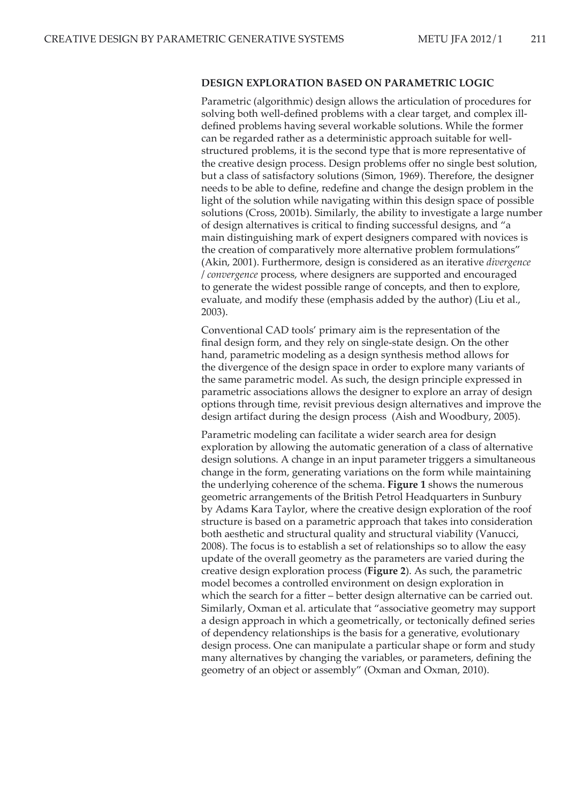### **DESIGN EXPLORATION BASED ON PARAMETRIC LOGIC**

Parametric (algorithmic) design allows the articulation of procedures for solving both well-defined problems with a clear target, and complex illdefined problems having several workable solutions. While the former can be regarded rather as a deterministic approach suitable for wellstructured problems, it is the second type that is more representative of the creative design process. Design problems offer no single best solution, but a class of satisfactory solutions (Simon, 1969). Therefore, the designer needs to be able to define, redefine and change the design problem in the light of the solution while navigating within this design space of possible solutions (Cross, 2001b). Similarly, the ability to investigate a large number of design alternatives is critical to finding successful designs, and "a main distinguishing mark of expert designers compared with novices is the creation of comparatively more alternative problem formulations" (Akin, 2001). Furthermore, design is considered as an iterative *divergence* / *convergence* process, where designers are supported and encouraged to generate the widest possible range of concepts, and then to explore, evaluate, and modify these (emphasis added by the author) (Liu et al., 2003).

Conventional CAD tools' primary aim is the representation of the final design form, and they rely on single-state design. On the other hand, parametric modeling as a design synthesis method allows for the divergence of the design space in order to explore many variants of the same parametric model. As such, the design principle expressed in parametric associations allows the designer to explore an array of design options through time, revisit previous design alternatives and improve the design artifact during the design process (Aish and Woodbury, 2005).

Parametric modeling can facilitate a wider search area for design exploration by allowing the automatic generation of a class of alternative design solutions. A change in an input parameter triggers a simultaneous change in the form, generating variations on the form while maintaining the underlying coherence of the schema. **Figure 1** shows the numerous geometric arrangements of the British Petrol Headquarters in Sunbury by Adams Kara Taylor, where the creative design exploration of the roof structure is based on a parametric approach that takes into consideration both aesthetic and structural quality and structural viability (Vanucci, 2008). The focus is to establish a set of relationships so to allow the easy update of the overall geometry as the parameters are varied during the creative design exploration process (**Figure 2**). As such, the parametric model becomes a controlled environment on design exploration in which the search for a fitter – better design alternative can be carried out. Similarly, Oxman et al. articulate that "associative geometry may support a design approach in which a geometrically, or tectonically defined series of dependency relationships is the basis for a generative, evolutionary design process. One can manipulate a particular shape or form and study many alternatives by changing the variables, or parameters, defining the geometry of an object or assembly" (Oxman and Oxman, 2010).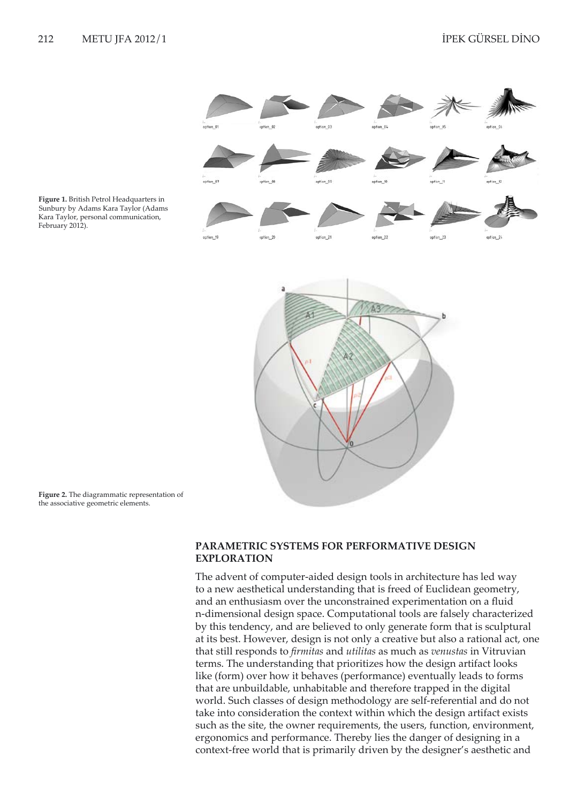

**Figure 1.** British Petrol Headquarters in Sunbury by Adams Kara Taylor (Adams Kara Taylor, personal communication, February 2012).

**Figure 2.** The diagrammatic representation of the associative geometric elements.

## **PARAMETRIC SYSTEMS FOR PERFORMATIVE DESIGN EXPLORATION**

The advent of computer-aided design tools in architecture has led way to a new aesthetical understanding that is freed of Euclidean geometry, and an enthusiasm over the unconstrained experimentation on a fluid n-dimensional design space. Computational tools are falsely characterized by this tendency, and are believed to only generate form that is sculptural at its best. However, design is not only a creative but also a rational act, one that still responds to *firmitas* and *utilitas* as much as *venustas* in Vitruvian terms. The understanding that prioritizes how the design artifact looks like (form) over how it behaves (performance) eventually leads to forms that are unbuildable, unhabitable and therefore trapped in the digital world. Such classes of design methodology are self-referential and do not take into consideration the context within which the design artifact exists such as the site, the owner requirements, the users, function, environment, ergonomics and performance. Thereby lies the danger of designing in a context-free world that is primarily driven by the designer's aesthetic and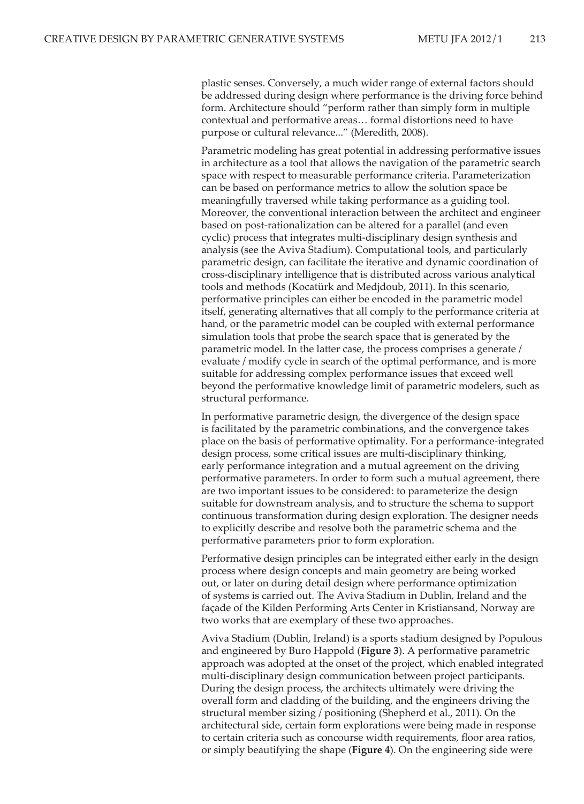plastic senses. Conversely, a much wider range of external factors should be addressed during design where performance is the driving force behind form. Architecture should "perform rather than simply form in multiple contextual and performative areas… formal distortions need to have purpose or cultural relevance..." (Meredith, 2008).

Parametric modeling has great potential in addressing performative issues in architecture as a tool that allows the navigation of the parametric search space with respect to measurable performance criteria. Parameterization can be based on performance metrics to allow the solution space be meaningfully traversed while taking performance as a guiding tool. Moreover, the conventional interaction between the architect and engineer based on post-rationalization can be altered for a parallel (and even cyclic) process that integrates multi-disciplinary design synthesis and analysis (see the Aviva Stadium). Computational tools, and particularly parametric design, can facilitate the iterative and dynamic coordination of cross-disciplinary intelligence that is distributed across various analytical tools and methods (Kocatürk and Medjdoub, 2011). In this scenario, performative principles can either be encoded in the parametric model itself, generating alternatives that all comply to the performance criteria at hand, or the parametric model can be coupled with external performance simulation tools that probe the search space that is generated by the parametric model. In the latter case, the process comprises a generate / evaluate / modify cycle in search of the optimal performance, and is more suitable for addressing complex performance issues that exceed well beyond the performative knowledge limit of parametric modelers, such as structural performance.

In performative parametric design, the divergence of the design space is facilitated by the parametric combinations, and the convergence takes place on the basis of performative optimality. For a performance-integrated design process, some critical issues are multi-disciplinary thinking, early performance integration and a mutual agreement on the driving performative parameters. In order to form such a mutual agreement, there are two important issues to be considered: to parameterize the design suitable for downstream analysis, and to structure the schema to support continuous transformation during design exploration. The designer needs to explicitly describe and resolve both the parametric schema and the performative parameters prior to form exploration.

Performative design principles can be integrated either early in the design process where design concepts and main geometry are being worked out, or later on during detail design where performance optimization of systems is carried out. The Aviva Stadium in Dublin, Ireland and the façade of the Kilden Performing Arts Center in Kristiansand, Norway are two works that are exemplary of these two approaches.

Aviva Stadium (Dublin, Ireland) is a sports stadium designed by Populous and engineered by Buro Happold (**Figure 3**). A performative parametric approach was adopted at the onset of the project, which enabled integrated multi-disciplinary design communication between project participants. During the design process, the architects ultimately were driving the overall form and cladding of the building, and the engineers driving the structural member sizing / positioning (Shepherd et al., 2011). On the architectural side, certain form explorations were being made in response to certain criteria such as concourse width requirements, floor area ratios, or simply beautifying the shape (**Figure 4**). On the engineering side were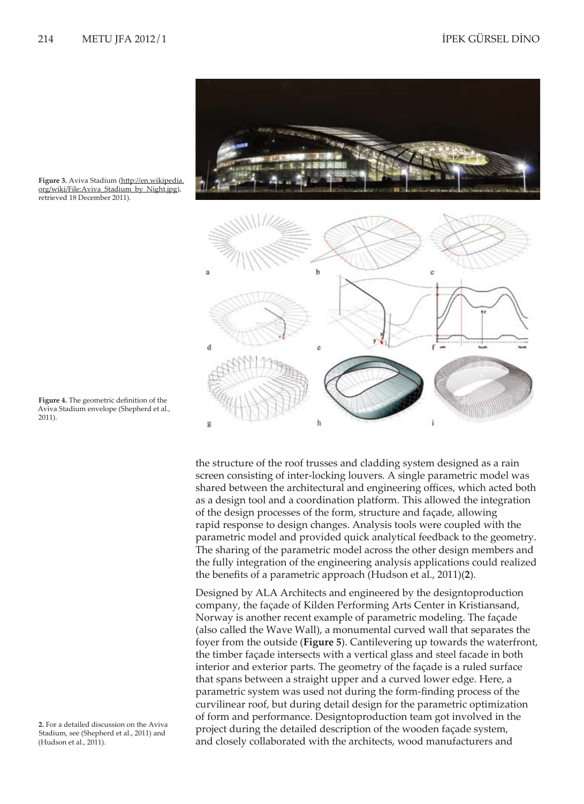



the structure of the roof trusses and cladding system designed as a rain screen consisting of inter-locking louvers. A single parametric model was shared between the architectural and engineering offices, which acted both as a design tool and a coordination platform. This allowed the integration of the design processes of the form, structure and façade, allowing rapid response to design changes. Analysis tools were coupled with the parametric model and provided quick analytical feedback to the geometry. The sharing of the parametric model across the other design members and the fully integration of the engineering analysis applications could realized the benefits of a parametric approach (Hudson et al., 2011)(**2**).

Designed by ALA Architects and engineered by the designtoproduction company, the façade of Kilden Performing Arts Center in Kristiansand, Norway is another recent example of parametric modeling. The façade (also called the Wave Wall), a monumental curved wall that separates the foyer from the outside (**Figure 5**). Cantilevering up towards the waterfront, the timber façade intersects with a vertical glass and steel facade in both interior and exterior parts. The geometry of the façade is a ruled surface that spans between a straight upper and a curved lower edge. Here, a parametric system was used not during the form-finding process of the curvilinear roof, but during detail design for the parametric optimization of form and performance. Designtoproduction team got involved in the project during the detailed description of the wooden façade system, and closely collaborated with the architects, wood manufacturers and

**Figure 3.** Aviva Stadium (http://en.wikipedia. org/wiki/File:Aviva\_Stadium\_by\_Night.jpg), retrieved 18 December 2011).

**Figure 4.** The geometric definition of the Aviva Stadium envelope (Shepherd et al., 2011).

**2.** For a detailed discussion on the Aviva Stadium, see (Shepherd et al., 2011) and (Hudson et al., 2011).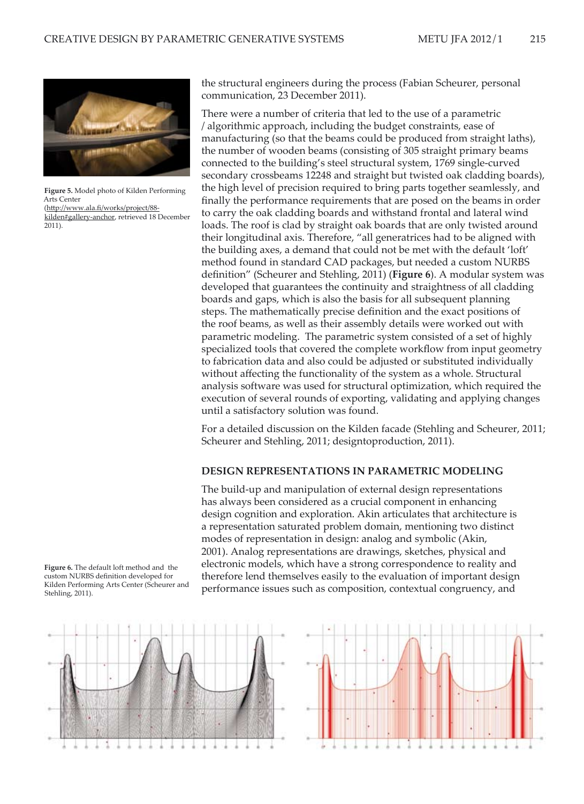

**Figure 5.** Model photo of Kilden Performing Arts Center (http://www.ala.fi/works/project/88 kilden#gallery-anchor, retrieved 18 December 2011).

the structural engineers during the process (Fabian Scheurer, personal communication, 23 December 2011).

There were a number of criteria that led to the use of a parametric / algorithmic approach, including the budget constraints, ease of manufacturing (so that the beams could be produced from straight laths), the number of wooden beams (consisting of 305 straight primary beams connected to the building's steel structural system, 1769 single-curved secondary crossbeams 12248 and straight but twisted oak cladding boards), the high level of precision required to bring parts together seamlessly, and finally the performance requirements that are posed on the beams in order to carry the oak cladding boards and withstand frontal and lateral wind loads. The roof is clad by straight oak boards that are only twisted around their longitudinal axis. Therefore, "all generatrices had to be aligned with the building axes, a demand that could not be met with the default 'loft' method found in standard CAD packages, but needed a custom NURBS definition" (Scheurer and Stehling, 2011) (**Figure 6**). A modular system was developed that guarantees the continuity and straightness of all cladding boards and gaps, which is also the basis for all subsequent planning steps. The mathematically precise definition and the exact positions of the roof beams, as well as their assembly details were worked out with parametric modeling. The parametric system consisted of a set of highly specialized tools that covered the complete workflow from input geometry to fabrication data and also could be adjusted or substituted individually without affecting the functionality of the system as a whole. Structural analysis software was used for structural optimization, which required the execution of several rounds of exporting, validating and applying changes until a satisfactory solution was found.

For a detailed discussion on the Kilden facade (Stehling and Scheurer, 2011; Scheurer and Stehling, 2011; designtoproduction, 2011).

#### **DESIGN REPRESENTATIONS IN PARAMETRIC MODELING**

The build-up and manipulation of external design representations has always been considered as a crucial component in enhancing design cognition and exploration. Akin articulates that architecture is a representation saturated problem domain, mentioning two distinct modes of representation in design: analog and symbolic (Akin, 2001). Analog representations are drawings, sketches, physical and electronic models, which have a strong correspondence to reality and therefore lend themselves easily to the evaluation of important design performance issues such as composition, contextual congruency, and



**Figure 6.** The default loft method and the custom NURBS definition developed for Kilden Performing Arts Center (Scheurer and

Stehling, 2011).

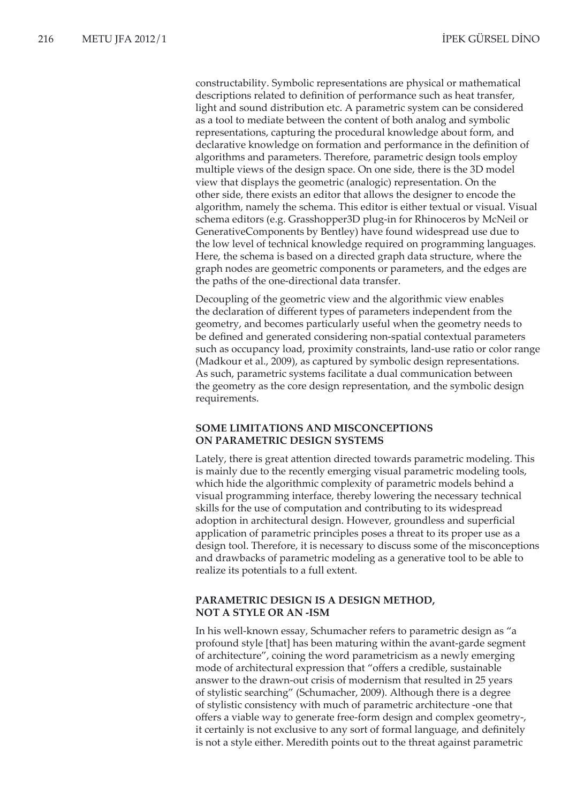constructability. Symbolic representations are physical or mathematical descriptions related to definition of performance such as heat transfer, light and sound distribution etc. A parametric system can be considered as a tool to mediate between the content of both analog and symbolic representations, capturing the procedural knowledge about form, and declarative knowledge on formation and performance in the definition of algorithms and parameters. Therefore, parametric design tools employ multiple views of the design space. On one side, there is the 3D model view that displays the geometric (analogic) representation. On the other side, there exists an editor that allows the designer to encode the algorithm, namely the schema. This editor is either textual or visual. Visual schema editors (e.g. Grasshopper3D plug-in for Rhinoceros by McNeil or GenerativeComponents by Bentley) have found widespread use due to the low level of technical knowledge required on programming languages. Here, the schema is based on a directed graph data structure, where the graph nodes are geometric components or parameters, and the edges are the paths of the one-directional data transfer.

Decoupling of the geometric view and the algorithmic view enables the declaration of different types of parameters independent from the geometry, and becomes particularly useful when the geometry needs to be defined and generated considering non-spatial contextual parameters such as occupancy load, proximity constraints, land-use ratio or color range (Madkour et al., 2009), as captured by symbolic design representations. As such, parametric systems facilitate a dual communication between the geometry as the core design representation, and the symbolic design requirements.

## **SOME LIMITATIONS AND MISCONCEPTIONS ON PARAMETRIC DESIGN SYSTEMS**

Lately, there is great attention directed towards parametric modeling. This is mainly due to the recently emerging visual parametric modeling tools, which hide the algorithmic complexity of parametric models behind a visual programming interface, thereby lowering the necessary technical skills for the use of computation and contributing to its widespread adoption in architectural design. However, groundless and superficial application of parametric principles poses a threat to its proper use as a design tool. Therefore, it is necessary to discuss some of the misconceptions and drawbacks of parametric modeling as a generative tool to be able to realize its potentials to a full extent.

## **PARAMETRIC DESIGN IS A DESIGN METHOD, NOT A STYLE OR AN -ISM**

In his well-known essay, Schumacher refers to parametric design as "a profound style [that] has been maturing within the avant-garde segment of architecture", coining the word parametricism as a newly emerging mode of architectural expression that "offers a credible, sustainable answer to the drawn-out crisis of modernism that resulted in 25 years of stylistic searching" (Schumacher, 2009). Although there is a degree of stylistic consistency with much of parametric architecture -one that offers a viable way to generate free-form design and complex geometry-, it certainly is not exclusive to any sort of formal language, and definitely is not a style either. Meredith points out to the threat against parametric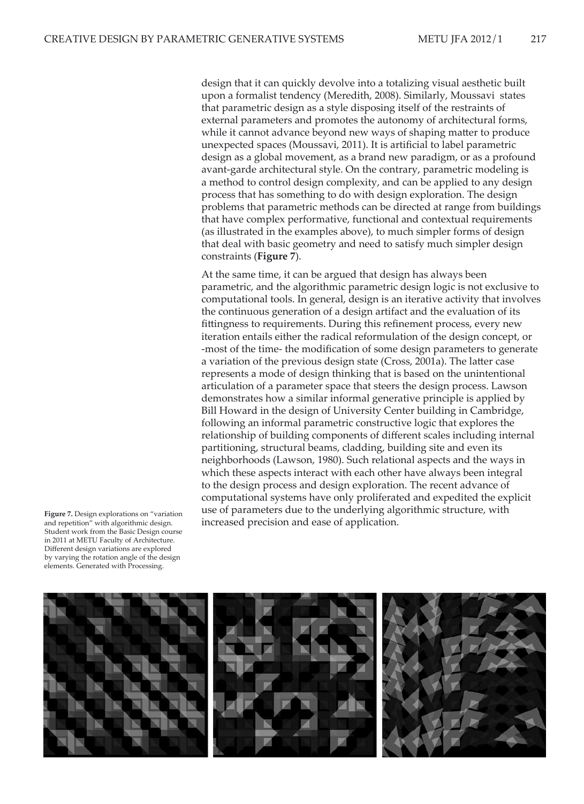design that it can quickly devolve into a totalizing visual aesthetic built upon a formalist tendency (Meredith, 2008). Similarly, Moussavi states that parametric design as a style disposing itself of the restraints of external parameters and promotes the autonomy of architectural forms, while it cannot advance beyond new ways of shaping matter to produce unexpected spaces (Moussavi, 2011). It is artificial to label parametric design as a global movement, as a brand new paradigm, or as a profound avant-garde architectural style. On the contrary, parametric modeling is a method to control design complexity, and can be applied to any design process that has something to do with design exploration. The design problems that parametric methods can be directed at range from buildings that have complex performative, functional and contextual requirements (as illustrated in the examples above), to much simpler forms of design that deal with basic geometry and need to satisfy much simpler design constraints (**Figure 7**).

At the same time, it can be argued that design has always been parametric, and the algorithmic parametric design logic is not exclusive to computational tools. In general, design is an iterative activity that involves the continuous generation of a design artifact and the evaluation of its fittingness to requirements. During this refinement process, every new iteration entails either the radical reformulation of the design concept, or -most of the time- the modification of some design parameters to generate a variation of the previous design state (Cross, 2001a). The latter case represents a mode of design thinking that is based on the unintentional articulation of a parameter space that steers the design process. Lawson demonstrates how a similar informal generative principle is applied by Bill Howard in the design of University Center building in Cambridge, following an informal parametric constructive logic that explores the relationship of building components of different scales including internal partitioning, structural beams, cladding, building site and even its neighborhoods (Lawson, 1980). Such relational aspects and the ways in which these aspects interact with each other have always been integral to the design process and design exploration. The recent advance of computational systems have only proliferated and expedited the explicit use of parameters due to the underlying algorithmic structure, with Figure 7. Design explorations on "variation" use of parameters due to the underlying alg<br>and repetition" with algorithmic design. **Finally increased precision and ease of application**.

and repetition" with algorithmic design. Student work from the Basic Design course in 2011 at METU Faculty of Architecture. Different design variations are explored by varying the rotation angle of the design elements. Generated with Processing.

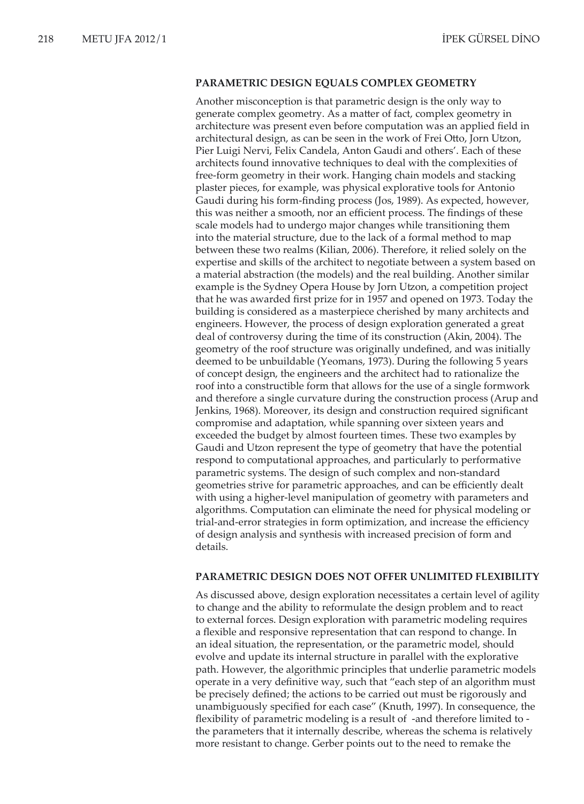#### **PARAMETRIC DESIGN EQUALS COMPLEX GEOMETRY**

Another misconception is that parametric design is the only way to generate complex geometry. As a matter of fact, complex geometry in architecture was present even before computation was an applied field in architectural design, as can be seen in the work of Frei Otto, Jorn Utzon, Pier Luigi Nervi, Felix Candela, Anton Gaudi and others'. Each of these architects found innovative techniques to deal with the complexities of free-form geometry in their work. Hanging chain models and stacking plaster pieces, for example, was physical explorative tools for Antonio Gaudi during his form-finding process (Jos, 1989). As expected, however, this was neither a smooth, nor an efficient process. The findings of these scale models had to undergo major changes while transitioning them into the material structure, due to the lack of a formal method to map between these two realms (Kilian, 2006). Therefore, it relied solely on the expertise and skills of the architect to negotiate between a system based on a material abstraction (the models) and the real building. Another similar example is the Sydney Opera House by Jorn Utzon, a competition project that he was awarded first prize for in 1957 and opened on 1973. Today the building is considered as a masterpiece cherished by many architects and engineers. However, the process of design exploration generated a great deal of controversy during the time of its construction (Akin, 2004). The geometry of the roof structure was originally undefined, and was initially deemed to be unbuildable (Yeomans, 1973). During the following 5 years of concept design, the engineers and the architect had to rationalize the roof into a constructible form that allows for the use of a single formwork and therefore a single curvature during the construction process (Arup and Jenkins, 1968). Moreover, its design and construction required significant compromise and adaptation, while spanning over sixteen years and exceeded the budget by almost fourteen times. These two examples by Gaudi and Utzon represent the type of geometry that have the potential respond to computational approaches, and particularly to performative parametric systems. The design of such complex and non-standard geometries strive for parametric approaches, and can be efficiently dealt with using a higher-level manipulation of geometry with parameters and algorithms. Computation can eliminate the need for physical modeling or trial-and-error strategies in form optimization, and increase the efficiency of design analysis and synthesis with increased precision of form and details.

#### **PARAMETRIC DESIGN DOES NOT OFFER UNLIMITED FLEXIBILITY**

As discussed above, design exploration necessitates a certain level of agility to change and the ability to reformulate the design problem and to react to external forces. Design exploration with parametric modeling requires a flexible and responsive representation that can respond to change. In an ideal situation, the representation, or the parametric model, should evolve and update its internal structure in parallel with the explorative path. However, the algorithmic principles that underlie parametric models operate in a very definitive way, such that "each step of an algorithm must be precisely defined; the actions to be carried out must be rigorously and unambiguously specified for each case" (Knuth, 1997). In consequence, the flexibility of parametric modeling is a result of -and therefore limited to the parameters that it internally describe, whereas the schema is relatively more resistant to change. Gerber points out to the need to remake the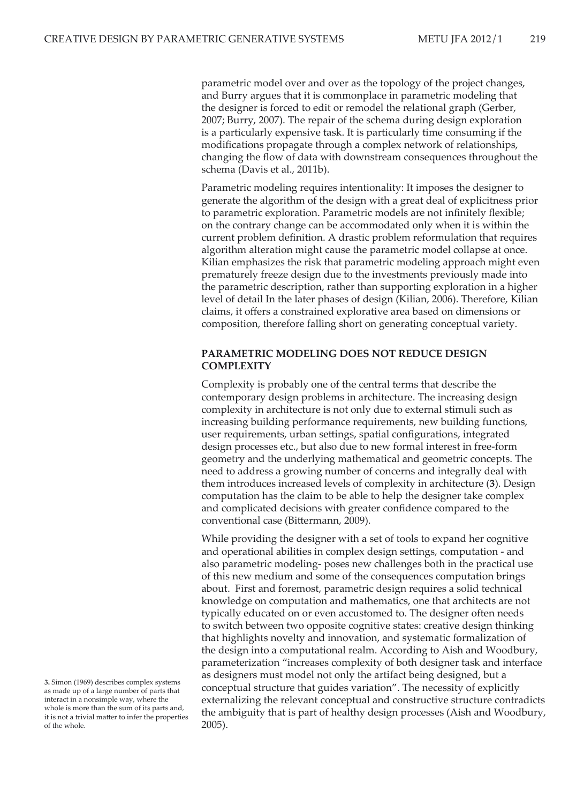parametric model over and over as the topology of the project changes, and Burry argues that it is commonplace in parametric modeling that the designer is forced to edit or remodel the relational graph (Gerber, 2007; Burry, 2007). The repair of the schema during design exploration is a particularly expensive task. It is particularly time consuming if the modifications propagate through a complex network of relationships, changing the flow of data with downstream consequences throughout the schema (Davis et al., 2011b).

Parametric modeling requires intentionality: It imposes the designer to generate the algorithm of the design with a great deal of explicitness prior to parametric exploration. Parametric models are not infinitely flexible; on the contrary change can be accommodated only when it is within the current problem definition. A drastic problem reformulation that requires algorithm alteration might cause the parametric model collapse at once. Kilian emphasizes the risk that parametric modeling approach might even prematurely freeze design due to the investments previously made into the parametric description, rather than supporting exploration in a higher level of detail In the later phases of design (Kilian, 2006). Therefore, Kilian claims, it offers a constrained explorative area based on dimensions or composition, therefore falling short on generating conceptual variety.

### **PARAMETRIC MODELING DOES NOT REDUCE DESIGN COMPLEXITY**

Complexity is probably one of the central terms that describe the contemporary design problems in architecture. The increasing design complexity in architecture is not only due to external stimuli such as increasing building performance requirements, new building functions, user requirements, urban settings, spatial configurations, integrated design processes etc., but also due to new formal interest in free-form geometry and the underlying mathematical and geometric concepts. The need to address a growing number of concerns and integrally deal with them introduces increased levels of complexity in architecture (**3**). Design computation has the claim to be able to help the designer take complex and complicated decisions with greater confidence compared to the conventional case (Bittermann, 2009).

While providing the designer with a set of tools to expand her cognitive and operational abilities in complex design settings, computation - and also parametric modeling- poses new challenges both in the practical use of this new medium and some of the consequences computation brings about. First and foremost, parametric design requires a solid technical knowledge on computation and mathematics, one that architects are not typically educated on or even accustomed to. The designer often needs to switch between two opposite cognitive states: creative design thinking that highlights novelty and innovation, and systematic formalization of the design into a computational realm. According to Aish and Woodbury, parameterization "increases complexity of both designer task and interface as designers must model not only the artifact being designed, but a conceptual structure that guides variation". The necessity of explicitly externalizing the relevant conceptual and constructive structure contradicts the ambiguity that is part of healthy design processes (Aish and Woodbury, 2005).

**<sup>3.</sup>** Simon (1969) describes complex systems as made up of a large number of parts that interact in a nonsimple way, where the whole is more than the sum of its parts and, it is not a trivial matter to infer the properties of the whole.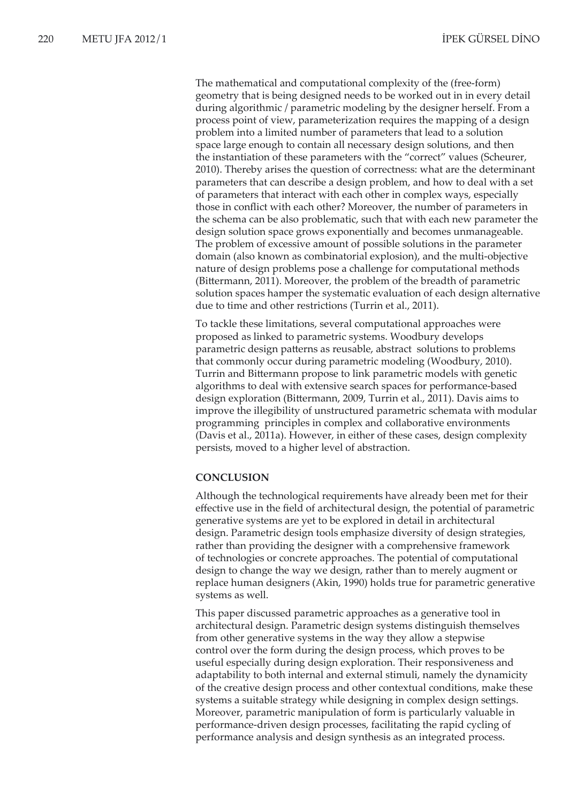The mathematical and computational complexity of the (free-form) geometry that is being designed needs to be worked out in in every detail during algorithmic / parametric modeling by the designer herself. From a process point of view, parameterization requires the mapping of a design problem into a limited number of parameters that lead to a solution space large enough to contain all necessary design solutions, and then the instantiation of these parameters with the "correct" values (Scheurer, 2010). Thereby arises the question of correctness: what are the determinant parameters that can describe a design problem, and how to deal with a set of parameters that interact with each other in complex ways, especially those in conflict with each other? Moreover, the number of parameters in the schema can be also problematic, such that with each new parameter the design solution space grows exponentially and becomes unmanageable. The problem of excessive amount of possible solutions in the parameter domain (also known as combinatorial explosion), and the multi-objective nature of design problems pose a challenge for computational methods (Bittermann, 2011). Moreover, the problem of the breadth of parametric solution spaces hamper the systematic evaluation of each design alternative due to time and other restrictions (Turrin et al., 2011).

To tackle these limitations, several computational approaches were proposed as linked to parametric systems. Woodbury develops parametric design patterns as reusable, abstract solutions to problems that commonly occur during parametric modeling (Woodbury, 2010). Turrin and Bittermann propose to link parametric models with genetic algorithms to deal with extensive search spaces for performance-based design exploration (Bittermann, 2009, Turrin et al., 2011). Davis aims to improve the illegibility of unstructured parametric schemata with modular programming principles in complex and collaborative environments (Davis et al., 2011a). However, in either of these cases, design complexity persists, moved to a higher level of abstraction.

### **CONCLUSION**

Although the technological requirements have already been met for their effective use in the field of architectural design, the potential of parametric generative systems are yet to be explored in detail in architectural design. Parametric design tools emphasize diversity of design strategies, rather than providing the designer with a comprehensive framework of technologies or concrete approaches. The potential of computational design to change the way we design, rather than to merely augment or replace human designers (Akin, 1990) holds true for parametric generative systems as well.

This paper discussed parametric approaches as a generative tool in architectural design. Parametric design systems distinguish themselves from other generative systems in the way they allow a stepwise control over the form during the design process, which proves to be useful especially during design exploration. Their responsiveness and adaptability to both internal and external stimuli, namely the dynamicity of the creative design process and other contextual conditions, make these systems a suitable strategy while designing in complex design settings. Moreover, parametric manipulation of form is particularly valuable in performance-driven design processes, facilitating the rapid cycling of performance analysis and design synthesis as an integrated process.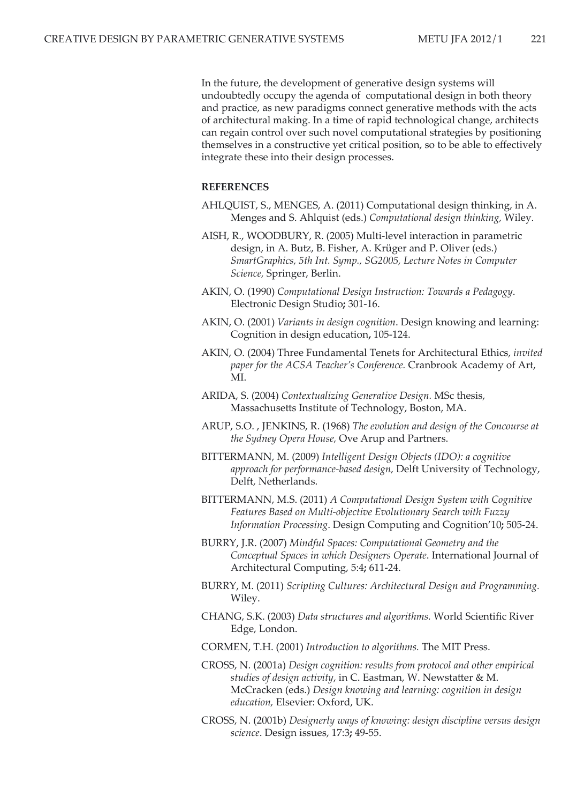In the future, the development of generative design systems will undoubtedly occupy the agenda of computational design in both theory and practice, as new paradigms connect generative methods with the acts of architectural making. In a time of rapid technological change, architects can regain control over such novel computational strategies by positioning themselves in a constructive yet critical position, so to be able to effectively integrate these into their design processes.

#### **REFERENCES**

- AHLQUIST, S., MENGES, A. (2011) Computational design thinking, in A. Menges and S. Ahlquist (eds.) *Computational design thinking,* Wiley.
- AISH, R., WOODBURY, R. (2005) Multi-level interaction in parametric design, in A. Butz, B. Fisher, A. Krüger and P. Oliver (eds.) *SmartGraphics, 5th Int. Symp., SG2005, Lecture Notes in Computer Science,* Springer, Berlin.
- AKIN, O. (1990) *Computational Design Instruction: Towards a Pedagogy*. Electronic Design Studio**;** 301-16.
- AKIN, O. (2001) *Variants in design cognition*. Design knowing and learning: Cognition in design education**,** 105-124.
- AKIN, O. (2004) Three Fundamental Tenets for Architectural Ethics, *invited paper for the ACSA Teacher's Conference.* Cranbrook Academy of Art, MI.
- ARIDA, S. (2004) *Contextualizing Generative Design.* MSc thesis, Massachusetts Institute of Technology, Boston, MA.
- ARUP, S.O. , JENKINS, R. (1968) *The evolution and design of the Concourse at the Sydney Opera House,* Ove Arup and Partners.
- BITTERMANN, M. (2009) *Intelligent Design Objects (IDO): a cognitive approach for performance-based design,* Delft University of Technology, Delft, Netherlands.
- BITTERMANN, M.S. (2011) *A Computational Design System with Cognitive Features Based on Multi-objective Evolutionary Search with Fuzzy Information Processing*. Design Computing and Cognition'10**;** 505-24.
- BURRY, J.R. (2007) *Mindful Spaces: Computational Geometry and the Conceptual Spaces in which Designers Operate*. International Journal of Architectural Computing, 5:4**;** 611-24.
- BURRY, M. (2011) *Scripting Cultures: Architectural Design and Programming.*  Wiley.
- CHANG, S.K. (2003) *Data structures and algorithms.* World Scientific River Edge, London.
- CORMEN, T.H. (2001) *Introduction to algorithms.* The MIT Press.
- CROSS, N. (2001a) *Design cognition: results from protocol and other empirical studies of design activity*, in C. Eastman, W. Newstatter & M. McCracken (eds.) *Design knowing and learning: cognition in design education,* Elsevier: Oxford, UK.
- CROSS, N. (2001b) *Designerly ways of knowing: design discipline versus design science*. Design issues, 17:3**;** 49-55.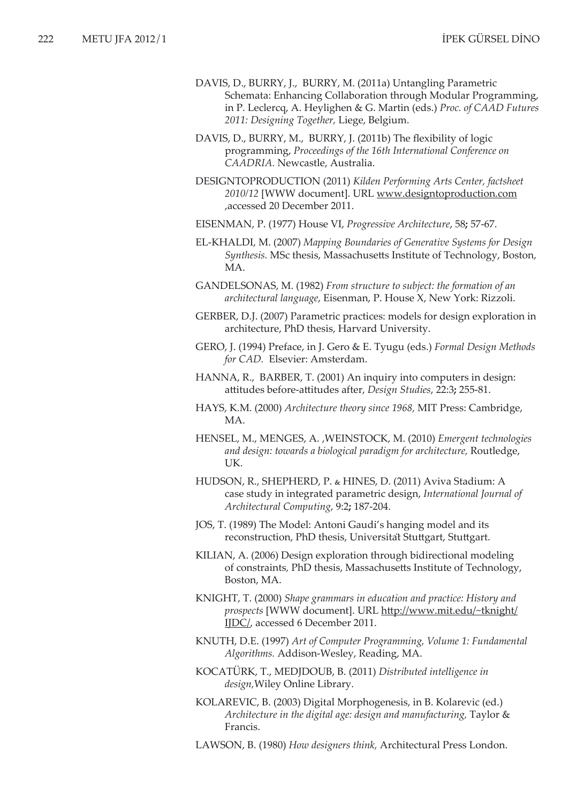- DAVIS, D., BURRY, J., BURRY, M. (2011a) Untangling Parametric Schemata: Enhancing Collaboration through Modular Programming, in P. Leclercq, A. Heylighen & G. Martin (eds.) *Proc. of CAAD Futures 2011: Designing Together,* Liege, Belgium.
- DAVIS, D., BURRY, M., BURRY, J. (2011b) The flexibility of logic programming, *Proceedings of the 16th International Conference on CAADRIA.* Newcastle, Australia.
- DESIGNTOPRODUCTION (2011) *Kilden Performing Arts Center, factsheet 2010/12* [WWW document]. URL www.designtoproduction.com ,accessed 20 December 2011.
- EISENMAN, P. (1977) House VI, *Progressive Architecture*, 58**;** 57-67.
- EL-KHALDI, M. (2007) *Mapping Boundaries of Generative Systems for Design Synthesis.* MSc thesis, Massachusetts Institute of Technology, Boston, MA.
- GANDELSONAS, M. (1982) *From structure to subject: the formation of an architectural language*, Eisenman, P. House X, New York: Rizzoli.
- GERBER, D.J. (2007) Parametric practices: models for design exploration in architecture, PhD thesis, Harvard University.
- GERO, J. (1994) Preface, in J. Gero & E. Tyugu (eds.) *Formal Design Methods for CAD.* Elsevier: Amsterdam.
- HANNA, R., BARBER, T. (2001) An inquiry into computers in design: attitudes before-attitudes after, *Design Studies*, 22:3**;** 255-81.
- HAYS, K.M. (2000) *Architecture theory since 1968,* MIT Press: Cambridge, MA.
- HENSEL, M., MENGES, A. ,WEINSTOCK, M. (2010) *Emergent technologies and design: towards a biological paradigm for architecture,* Routledge, UK.
- HUDSON, R., SHEPHERD, P. & HINES, D. (2011) Aviva Stadium: A case study in integrated parametric design, *International Journal of Architectural Computing*, 9:2**;** 187-204.
- JOS, T. (1989) The Model: Antoni Gaudi's hanging model and its reconstruction, PhD thesis, Universität Stuttgart, Stuttgart.
- KILIAN, A. (2006) Design exploration through bidirectional modeling of constraints*,* PhD thesis, Massachusetts Institute of Technology, Boston, MA.
- KNIGHT, T. (2000) *Shape grammars in education and practice: History and prospects* [WWW document]. URL http://www.mit.edu/~tknight/ IJDC/, accessed 6 December 2011.
- KNUTH, D.E. (1997) *Art of Computer Programming, Volume 1: Fundamental Algorithms.* Addison-Wesley, Reading, MA.
- KOCATÜRK, T., MEDJDOUB, B. (2011) *Distributed intelligence in design,*Wiley Online Library.
- KOLAREVIC, B. (2003) Digital Morphogenesis, in B. Kolarevic (ed.) *Architecture in the digital age: design and manufacturing,* Taylor & Francis.
- LAWSON, B. (1980) *How designers think,* Architectural Press London.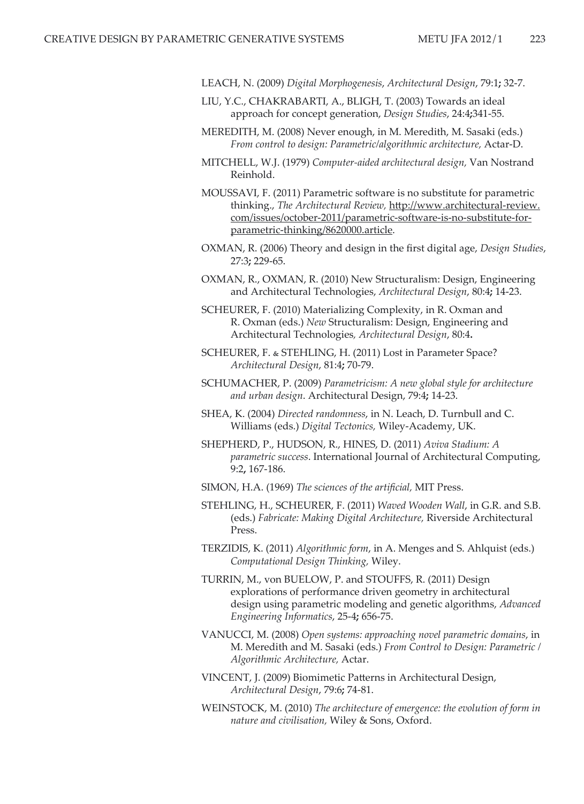- LEACH, N. (2009) *Digital Morphogenesis*, *Architectural Design*, 79:1**;** 32-7.
- LIU, Y.C., CHAKRABARTI, A., BLIGH, T. (2003) Towards an ideal approach for concept generation, *Design Studies*, 24:4**;**341-55.
- MEREDITH, M. (2008) Never enough, in M. Meredith, M. Sasaki (eds.) *From control to design: Parametric/algorithmic architecture,* Actar-D.
- MITCHELL, W.J. (1979) *Computer-aided architectural design,* Van Nostrand Reinhold.
- MOUSSAVI, F. (2011) Parametric software is no substitute for parametric thinking., *The Architectural Review,* http://www.architectural-review. com/issues/october-2011/parametric-software-is-no-substitute-forparametric-thinking/8620000.article.
- OXMAN, R. (2006) Theory and design in the first digital age, *Design Studies*, 27:3**;** 229-65.
- OXMAN, R., OXMAN, R. (2010) New Structuralism: Design, Engineering and Architectural Technologies, *Architectural Design*, 80:4**;** 14-23.
- SCHEURER, F. (2010) Materializing Complexity, in R. Oxman and R. Oxman (eds.) *New* Structuralism: Design, Engineering and Architectural Technologies*, Architectural Design*, 80:4**.**
- SCHEURER, F. & STEHLING, H. (2011) Lost in Parameter Space? *Architectural Design*, 81:4**;** 70-79.
- SCHUMACHER, P. (2009) *Parametricism: A new global style for architecture and urban design*. Architectural Design, 79:4**;** 14-23.
- SHEA, K. (2004) *Directed randomness*, in N. Leach, D. Turnbull and C. Williams (eds.) *Digital Tectonics,* Wiley-Academy, UK.
- SHEPHERD, P., HUDSON, R., HINES, D. (2011) *Aviva Stadium: A parametric success*. International Journal of Architectural Computing, 9:2**,** 167-186.
- SIMON, H.A. (1969) *The sciences of the artificial,* MIT Press.
- STEHLING, H., SCHEURER, F. (2011) *Waved Wooden Wall*, in G.R. and S.B. (eds.) *Fabricate: Making Digital Architecture,* Riverside Architectural Press.
- TERZIDIS, K. (2011) *Algorithmic form*, in A. Menges and S. Ahlquist (eds.) *Computational Design Thinking,* Wiley.
- TURRIN, M., von BUELOW, P. and STOUFFS, R. (2011) Design explorations of performance driven geometry in architectural design using parametric modeling and genetic algorithms, *Advanced Engineering Informatics*, 25-4**;** 656-75.
- VANUCCI, M. (2008) *Open systems: approaching novel parametric domains*, in M. Meredith and M. Sasaki (eds.) *From Control to Design: Parametric / Algorithmic Architecture,* Actar.
- VINCENT, J. (2009) Biomimetic Patterns in Architectural Design, *Architectural Design*, 79:6**;** 74-81.
- WEINSTOCK, M. (2010) *The architecture of emergence: the evolution of form in nature and civilisation,* Wiley & Sons, Oxford.